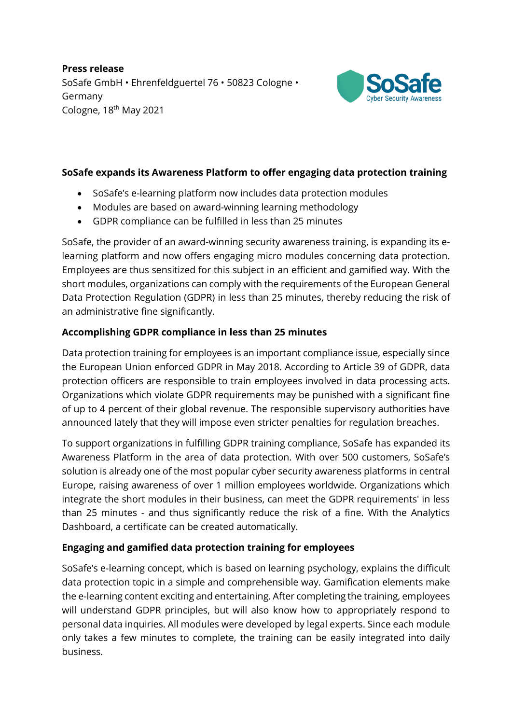**Press release** SoSafe GmbH • Ehrenfeldguertel 76 • 50823 Cologne • Germany Cologne, 18th May 2021



## **SoSafe expands its Awareness Platform to offer engaging data protection training**

- SoSafe's e-learning platform now includes data protection modules
- Modules are based on award-winning learning methodology
- GDPR compliance can be fulfilled in less than 25 minutes

SoSafe, the provider of an award-winning security awareness training, is expanding its elearning platform and now offers engaging micro modules concerning data protection. Employees are thus sensitized for this subject in an efficient and gamified way. With the short modules, organizations can comply with the requirements of the European General Data Protection Regulation (GDPR) in less than 25 minutes, thereby reducing the risk of an administrative fine significantly.

# **Accomplishing GDPR compliance in less than 25 minutes**

Data protection training for employees is an important compliance issue, especially since the European Union enforced GDPR in May 2018. According to Article 39 of GDPR, data protection officers are responsible to train employees involved in data processing acts. Organizations which violate GDPR requirements may be punished with a significant fine of up to 4 percent of their global revenue. The responsible supervisory authorities have announced lately that they will impose even stricter penalties for regulation breaches.

To support organizations in fulfilling GDPR training compliance, SoSafe has expanded its Awareness Platform in the area of data protection. With over 500 customers, SoSafe's solution is already one of the most popular cyber security awareness platforms in central Europe, raising awareness of over 1 million employees worldwide. Organizations which integrate the short modules in their business, can meet the GDPR requirements' in less than 25 minutes - and thus significantly reduce the risk of a fine. With the Analytics Dashboard, a certificate can be created automatically.

## **Engaging and gamified data protection training for employees**

SoSafe's e-learning concept, which is based on learning psychology, explains the difficult data protection topic in a simple and comprehensible way. Gamification elements make the e-learning content exciting and entertaining. After completing the training, employees will understand GDPR principles, but will also know how to appropriately respond to personal data inquiries. All modules were developed by legal experts. Since each module only takes a few minutes to complete, the training can be easily integrated into daily business.